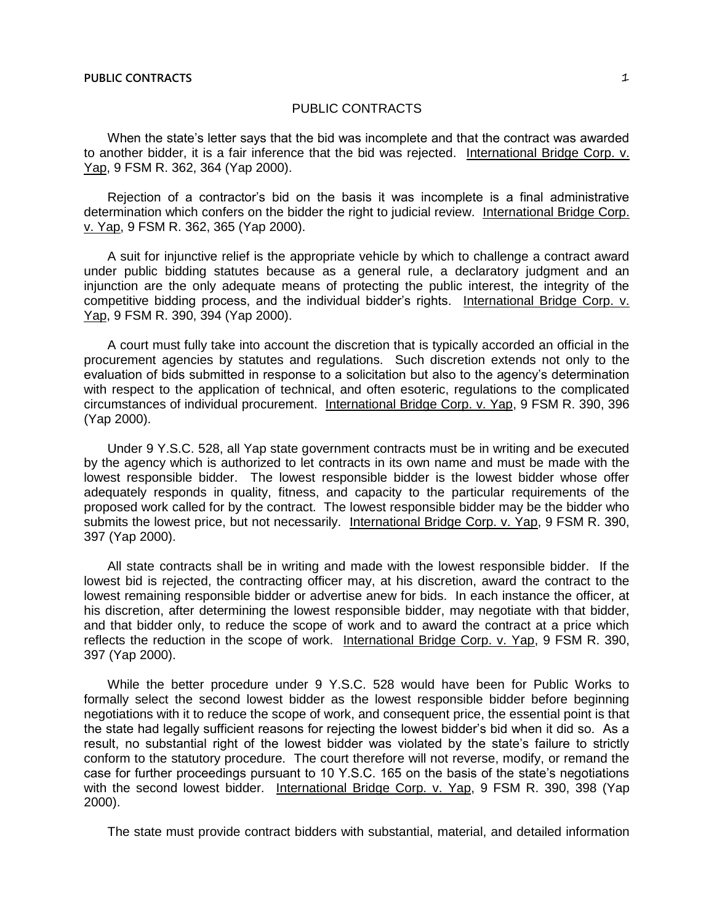When the state's letter says that the bid was incomplete and that the contract was awarded to another bidder, it is a fair inference that the bid was rejected. International Bridge Corp. v. Yap, 9 FSM R. 362, 364 (Yap 2000).

Rejection of a contractor's bid on the basis it was incomplete is a final administrative determination which confers on the bidder the right to judicial review. International Bridge Corp. v. Yap, 9 FSM R. 362, 365 (Yap 2000).

A suit for injunctive relief is the appropriate vehicle by which to challenge a contract award under public bidding statutes because as a general rule, a declaratory judgment and an injunction are the only adequate means of protecting the public interest, the integrity of the competitive bidding process, and the individual bidder's rights. International Bridge Corp. v. Yap, 9 FSM R. 390, 394 (Yap 2000).

A court must fully take into account the discretion that is typically accorded an official in the procurement agencies by statutes and regulations. Such discretion extends not only to the evaluation of bids submitted in response to a solicitation but also to the agency's determination with respect to the application of technical, and often esoteric, regulations to the complicated circumstances of individual procurement. International Bridge Corp. v. Yap, 9 FSM R. 390, 396 (Yap 2000).

Under 9 Y.S.C. 528, all Yap state government contracts must be in writing and be executed by the agency which is authorized to let contracts in its own name and must be made with the lowest responsible bidder. The lowest responsible bidder is the lowest bidder whose offer adequately responds in quality, fitness, and capacity to the particular requirements of the proposed work called for by the contract. The lowest responsible bidder may be the bidder who submits the lowest price, but not necessarily. International Bridge Corp. v. Yap, 9 FSM R. 390, 397 (Yap 2000).

All state contracts shall be in writing and made with the lowest responsible bidder. If the lowest bid is rejected, the contracting officer may, at his discretion, award the contract to the lowest remaining responsible bidder or advertise anew for bids. In each instance the officer, at his discretion, after determining the lowest responsible bidder, may negotiate with that bidder, and that bidder only, to reduce the scope of work and to award the contract at a price which reflects the reduction in the scope of work. International Bridge Corp. v. Yap, 9 FSM R. 390, 397 (Yap 2000).

While the better procedure under 9 Y.S.C. 528 would have been for Public Works to formally select the second lowest bidder as the lowest responsible bidder before beginning negotiations with it to reduce the scope of work, and consequent price, the essential point is that the state had legally sufficient reasons for rejecting the lowest bidder's bid when it did so. As a result, no substantial right of the lowest bidder was violated by the state's failure to strictly conform to the statutory procedure. The court therefore will not reverse, modify, or remand the case for further proceedings pursuant to 10 Y.S.C. 165 on the basis of the state's negotiations with the second lowest bidder. International Bridge Corp. v. Yap, 9 FSM R. 390, 398 (Yap 2000).

The state must provide contract bidders with substantial, material, and detailed information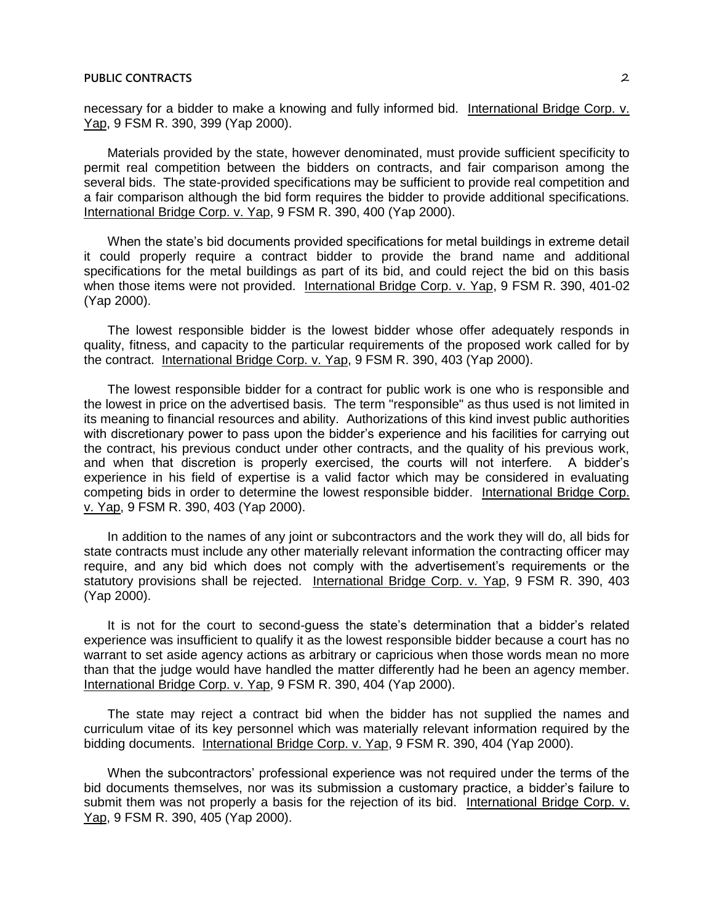necessary for a bidder to make a knowing and fully informed bid. International Bridge Corp. v. Yap, 9 FSM R. 390, 399 (Yap 2000).

Materials provided by the state, however denominated, must provide sufficient specificity to permit real competition between the bidders on contracts, and fair comparison among the several bids. The state-provided specifications may be sufficient to provide real competition and a fair comparison although the bid form requires the bidder to provide additional specifications. International Bridge Corp. v. Yap, 9 FSM R. 390, 400 (Yap 2000).

When the state's bid documents provided specifications for metal buildings in extreme detail it could properly require a contract bidder to provide the brand name and additional specifications for the metal buildings as part of its bid, and could reject the bid on this basis when those items were not provided. International Bridge Corp. v. Yap, 9 FSM R. 390, 401-02 (Yap 2000).

The lowest responsible bidder is the lowest bidder whose offer adequately responds in quality, fitness, and capacity to the particular requirements of the proposed work called for by the contract. International Bridge Corp. v. Yap, 9 FSM R. 390, 403 (Yap 2000).

The lowest responsible bidder for a contract for public work is one who is responsible and the lowest in price on the advertised basis. The term "responsible" as thus used is not limited in its meaning to financial resources and ability. Authorizations of this kind invest public authorities with discretionary power to pass upon the bidder's experience and his facilities for carrying out the contract, his previous conduct under other contracts, and the quality of his previous work, and when that discretion is properly exercised, the courts will not interfere. A bidder's experience in his field of expertise is a valid factor which may be considered in evaluating competing bids in order to determine the lowest responsible bidder. International Bridge Corp. v. Yap, 9 FSM R. 390, 403 (Yap 2000).

In addition to the names of any joint or subcontractors and the work they will do, all bids for state contracts must include any other materially relevant information the contracting officer may require, and any bid which does not comply with the advertisement's requirements or the statutory provisions shall be rejected. International Bridge Corp. v. Yap, 9 FSM R. 390, 403 (Yap 2000).

It is not for the court to second-guess the state's determination that a bidder's related experience was insufficient to qualify it as the lowest responsible bidder because a court has no warrant to set aside agency actions as arbitrary or capricious when those words mean no more than that the judge would have handled the matter differently had he been an agency member. International Bridge Corp. v. Yap, 9 FSM R. 390, 404 (Yap 2000).

The state may reject a contract bid when the bidder has not supplied the names and curriculum vitae of its key personnel which was materially relevant information required by the bidding documents. International Bridge Corp. v. Yap, 9 FSM R. 390, 404 (Yap 2000).

When the subcontractors' professional experience was not required under the terms of the bid documents themselves, nor was its submission a customary practice, a bidder's failure to submit them was not properly a basis for the rejection of its bid. International Bridge Corp. v. Yap, 9 FSM R. 390, 405 (Yap 2000).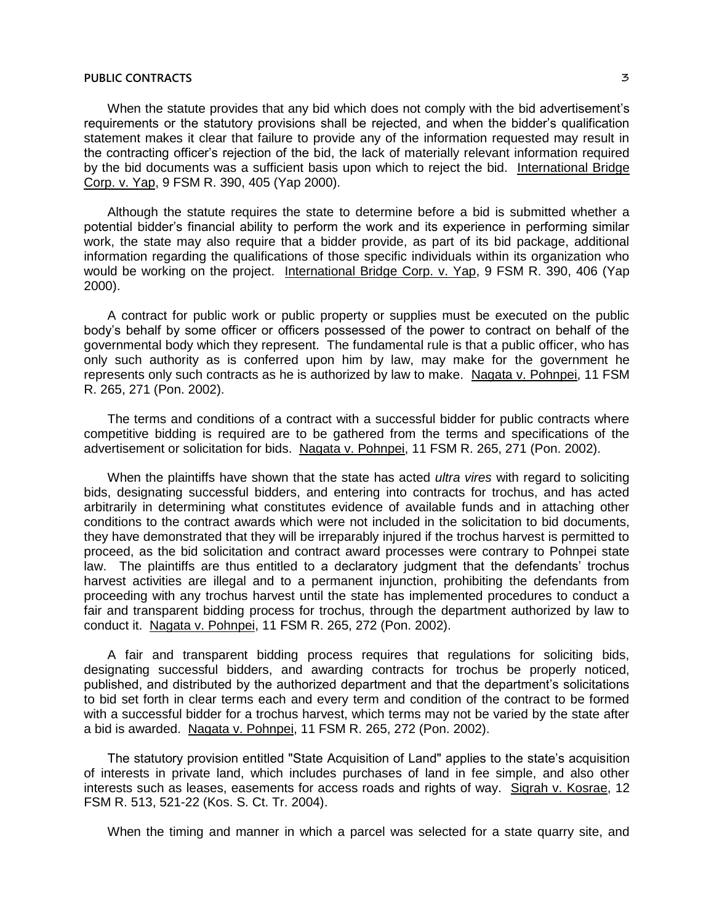When the statute provides that any bid which does not comply with the bid advertisement's requirements or the statutory provisions shall be rejected, and when the bidder's qualification statement makes it clear that failure to provide any of the information requested may result in the contracting officer's rejection of the bid, the lack of materially relevant information required by the bid documents was a sufficient basis upon which to reject the bid. International Bridge Corp. v. Yap, 9 FSM R. 390, 405 (Yap 2000).

Although the statute requires the state to determine before a bid is submitted whether a potential bidder's financial ability to perform the work and its experience in performing similar work, the state may also require that a bidder provide, as part of its bid package, additional information regarding the qualifications of those specific individuals within its organization who would be working on the project. International Bridge Corp. v. Yap, 9 FSM R. 390, 406 (Yap 2000).

A contract for public work or public property or supplies must be executed on the public body's behalf by some officer or officers possessed of the power to contract on behalf of the governmental body which they represent. The fundamental rule is that a public officer, who has only such authority as is conferred upon him by law, may make for the government he represents only such contracts as he is authorized by law to make. Nagata v. Pohnpei, 11 FSM R. 265, 271 (Pon. 2002).

The terms and conditions of a contract with a successful bidder for public contracts where competitive bidding is required are to be gathered from the terms and specifications of the advertisement or solicitation for bids. Nagata v. Pohnpei, 11 FSM R. 265, 271 (Pon. 2002).

When the plaintiffs have shown that the state has acted *ultra vires* with regard to soliciting bids, designating successful bidders, and entering into contracts for trochus, and has acted arbitrarily in determining what constitutes evidence of available funds and in attaching other conditions to the contract awards which were not included in the solicitation to bid documents, they have demonstrated that they will be irreparably injured if the trochus harvest is permitted to proceed, as the bid solicitation and contract award processes were contrary to Pohnpei state law. The plaintiffs are thus entitled to a declaratory judgment that the defendants' trochus harvest activities are illegal and to a permanent injunction, prohibiting the defendants from proceeding with any trochus harvest until the state has implemented procedures to conduct a fair and transparent bidding process for trochus, through the department authorized by law to conduct it. Nagata v. Pohnpei, 11 FSM R. 265, 272 (Pon. 2002).

A fair and transparent bidding process requires that regulations for soliciting bids, designating successful bidders, and awarding contracts for trochus be properly noticed, published, and distributed by the authorized department and that the department's solicitations to bid set forth in clear terms each and every term and condition of the contract to be formed with a successful bidder for a trochus harvest, which terms may not be varied by the state after a bid is awarded. Nagata v. Pohnpei, 11 FSM R. 265, 272 (Pon. 2002).

The statutory provision entitled "State Acquisition of Land" applies to the state's acquisition of interests in private land, which includes purchases of land in fee simple, and also other interests such as leases, easements for access roads and rights of way. Sigrah v. Kosrae, 12 FSM R. 513, 521-22 (Kos. S. Ct. Tr. 2004).

When the timing and manner in which a parcel was selected for a state quarry site, and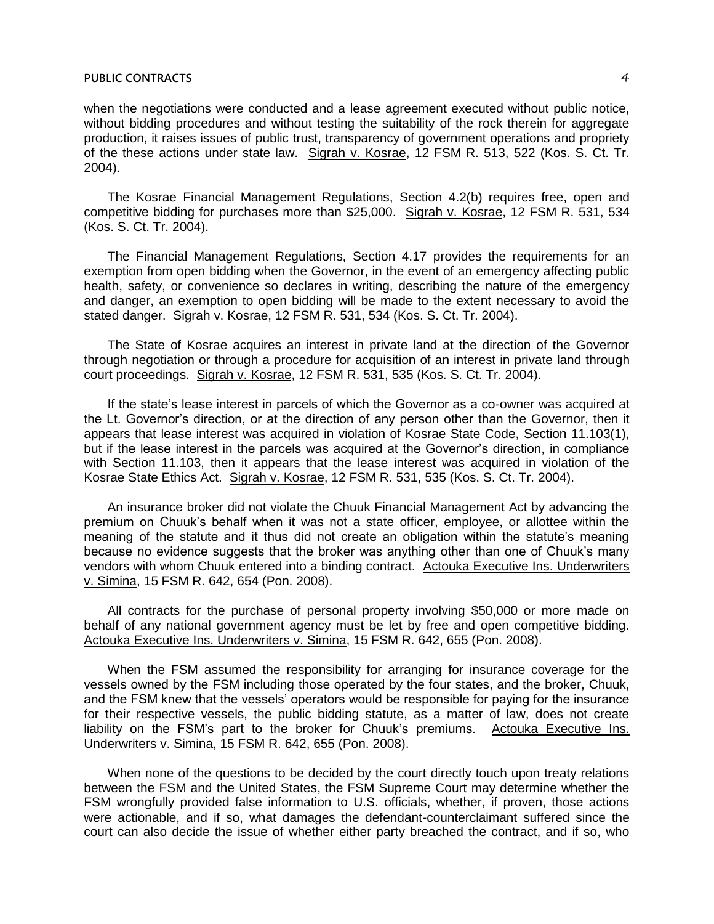when the negotiations were conducted and a lease agreement executed without public notice, without bidding procedures and without testing the suitability of the rock therein for aggregate production, it raises issues of public trust, transparency of government operations and propriety of the these actions under state law. Sigrah v. Kosrae, 12 FSM R. 513, 522 (Kos. S. Ct. Tr. 2004).

The Kosrae Financial Management Regulations, Section 4.2(b) requires free, open and competitive bidding for purchases more than \$25,000. Sigrah v. Kosrae, 12 FSM R. 531, 534 (Kos. S. Ct. Tr. 2004).

The Financial Management Regulations, Section 4.17 provides the requirements for an exemption from open bidding when the Governor, in the event of an emergency affecting public health, safety, or convenience so declares in writing, describing the nature of the emergency and danger, an exemption to open bidding will be made to the extent necessary to avoid the stated danger. Sigrah v. Kosrae, 12 FSM R. 531, 534 (Kos. S. Ct. Tr. 2004).

The State of Kosrae acquires an interest in private land at the direction of the Governor through negotiation or through a procedure for acquisition of an interest in private land through court proceedings. Sigrah v. Kosrae, 12 FSM R. 531, 535 (Kos. S. Ct. Tr. 2004).

If the state's lease interest in parcels of which the Governor as a co-owner was acquired at the Lt. Governor's direction, or at the direction of any person other than the Governor, then it appears that lease interest was acquired in violation of Kosrae State Code, Section 11.103(1), but if the lease interest in the parcels was acquired at the Governor's direction, in compliance with Section 11.103, then it appears that the lease interest was acquired in violation of the Kosrae State Ethics Act. Sigrah v. Kosrae, 12 FSM R. 531, 535 (Kos. S. Ct. Tr. 2004).

An insurance broker did not violate the Chuuk Financial Management Act by advancing the premium on Chuuk's behalf when it was not a state officer, employee, or allottee within the meaning of the statute and it thus did not create an obligation within the statute's meaning because no evidence suggests that the broker was anything other than one of Chuuk's many vendors with whom Chuuk entered into a binding contract. Actouka Executive Ins. Underwriters v. Simina, 15 FSM R. 642, 654 (Pon. 2008).

All contracts for the purchase of personal property involving \$50,000 or more made on behalf of any national government agency must be let by free and open competitive bidding. Actouka Executive Ins. Underwriters v. Simina, 15 FSM R. 642, 655 (Pon. 2008).

When the FSM assumed the responsibility for arranging for insurance coverage for the vessels owned by the FSM including those operated by the four states, and the broker, Chuuk, and the FSM knew that the vessels' operators would be responsible for paying for the insurance for their respective vessels, the public bidding statute, as a matter of law, does not create liability on the FSM's part to the broker for Chuuk's premiums. Actouka Executive Ins. Underwriters v. Simina, 15 FSM R. 642, 655 (Pon. 2008).

When none of the questions to be decided by the court directly touch upon treaty relations between the FSM and the United States, the FSM Supreme Court may determine whether the FSM wrongfully provided false information to U.S. officials, whether, if proven, those actions were actionable, and if so, what damages the defendant-counterclaimant suffered since the court can also decide the issue of whether either party breached the contract, and if so, who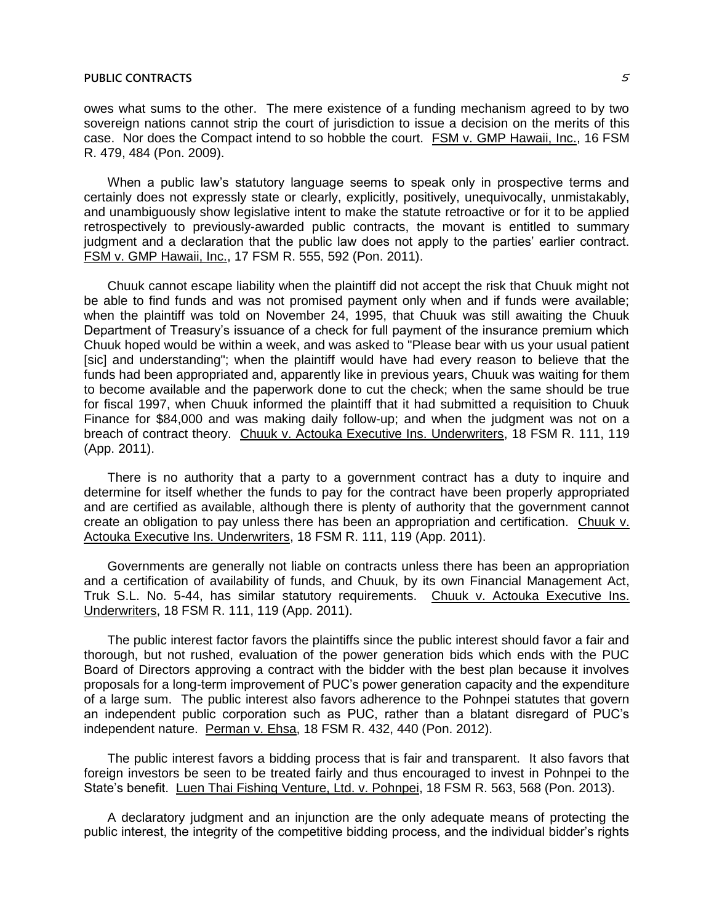owes what sums to the other. The mere existence of a funding mechanism agreed to by two sovereign nations cannot strip the court of jurisdiction to issue a decision on the merits of this case. Nor does the Compact intend to so hobble the court. FSM v. GMP Hawaii, Inc., 16 FSM R. 479, 484 (Pon. 2009).

When a public law's statutory language seems to speak only in prospective terms and certainly does not expressly state or clearly, explicitly, positively, unequivocally, unmistakably, and unambiguously show legislative intent to make the statute retroactive or for it to be applied retrospectively to previously-awarded public contracts, the movant is entitled to summary judgment and a declaration that the public law does not apply to the parties' earlier contract. FSM v. GMP Hawaii, Inc., 17 FSM R. 555, 592 (Pon. 2011).

Chuuk cannot escape liability when the plaintiff did not accept the risk that Chuuk might not be able to find funds and was not promised payment only when and if funds were available; when the plaintiff was told on November 24, 1995, that Chuuk was still awaiting the Chuuk Department of Treasury's issuance of a check for full payment of the insurance premium which Chuuk hoped would be within a week, and was asked to "Please bear with us your usual patient [sic] and understanding"; when the plaintiff would have had every reason to believe that the funds had been appropriated and, apparently like in previous years, Chuuk was waiting for them to become available and the paperwork done to cut the check; when the same should be true for fiscal 1997, when Chuuk informed the plaintiff that it had submitted a requisition to Chuuk Finance for \$84,000 and was making daily follow-up; and when the judgment was not on a breach of contract theory. Chuuk v. Actouka Executive Ins. Underwriters, 18 FSM R. 111, 119 (App. 2011).

There is no authority that a party to a government contract has a duty to inquire and determine for itself whether the funds to pay for the contract have been properly appropriated and are certified as available, although there is plenty of authority that the government cannot create an obligation to pay unless there has been an appropriation and certification. Chuuk v. Actouka Executive Ins. Underwriters, 18 FSM R. 111, 119 (App. 2011).

Governments are generally not liable on contracts unless there has been an appropriation and a certification of availability of funds, and Chuuk, by its own Financial Management Act, Truk S.L. No. 5-44, has similar statutory requirements. Chuuk v. Actouka Executive Ins. Underwriters, 18 FSM R. 111, 119 (App. 2011).

The public interest factor favors the plaintiffs since the public interest should favor a fair and thorough, but not rushed, evaluation of the power generation bids which ends with the PUC Board of Directors approving a contract with the bidder with the best plan because it involves proposals for a long-term improvement of PUC's power generation capacity and the expenditure of a large sum. The public interest also favors adherence to the Pohnpei statutes that govern an independent public corporation such as PUC, rather than a blatant disregard of PUC's independent nature. Perman v. Ehsa, 18 FSM R. 432, 440 (Pon. 2012).

The public interest favors a bidding process that is fair and transparent. It also favors that foreign investors be seen to be treated fairly and thus encouraged to invest in Pohnpei to the State's benefit. Luen Thai Fishing Venture, Ltd. v. Pohnpei, 18 FSM R. 563, 568 (Pon. 2013).

A declaratory judgment and an injunction are the only adequate means of protecting the public interest, the integrity of the competitive bidding process, and the individual bidder's rights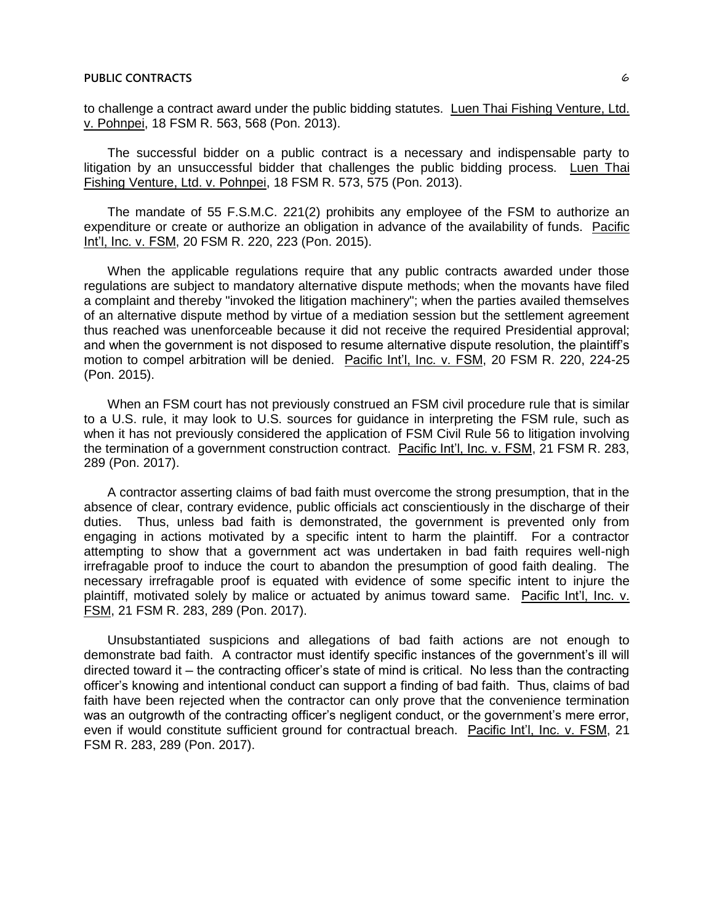to challenge a contract award under the public bidding statutes. Luen Thai Fishing Venture, Ltd. v. Pohnpei, 18 FSM R. 563, 568 (Pon. 2013).

The successful bidder on a public contract is a necessary and indispensable party to litigation by an unsuccessful bidder that challenges the public bidding process. Luen Thai Fishing Venture, Ltd. v. Pohnpei, 18 FSM R. 573, 575 (Pon. 2013).

The mandate of 55 F.S.M.C. 221(2) prohibits any employee of the FSM to authorize an expenditure or create or authorize an obligation in advance of the availability of funds. Pacific Int'l, Inc. v. FSM, 20 FSM R. 220, 223 (Pon. 2015).

When the applicable regulations require that any public contracts awarded under those regulations are subject to mandatory alternative dispute methods; when the movants have filed a complaint and thereby "invoked the litigation machinery"; when the parties availed themselves of an alternative dispute method by virtue of a mediation session but the settlement agreement thus reached was unenforceable because it did not receive the required Presidential approval; and when the government is not disposed to resume alternative dispute resolution, the plaintiff's motion to compel arbitration will be denied. Pacific Int'l, Inc. v. FSM, 20 FSM R. 220, 224-25 (Pon. 2015).

When an FSM court has not previously construed an FSM civil procedure rule that is similar to a U.S. rule, it may look to U.S. sources for guidance in interpreting the FSM rule, such as when it has not previously considered the application of FSM Civil Rule 56 to litigation involving the termination of a government construction contract. Pacific Int'l, Inc. v. FSM, 21 FSM R. 283, 289 (Pon. 2017).

A contractor asserting claims of bad faith must overcome the strong presumption, that in the absence of clear, contrary evidence, public officials act conscientiously in the discharge of their duties. Thus, unless bad faith is demonstrated, the government is prevented only from engaging in actions motivated by a specific intent to harm the plaintiff. For a contractor attempting to show that a government act was undertaken in bad faith requires well-nigh irrefragable proof to induce the court to abandon the presumption of good faith dealing. The necessary irrefragable proof is equated with evidence of some specific intent to injure the plaintiff, motivated solely by malice or actuated by animus toward same. Pacific Int'l, Inc. v. FSM, 21 FSM R. 283, 289 (Pon. 2017).

Unsubstantiated suspicions and allegations of bad faith actions are not enough to demonstrate bad faith. A contractor must identify specific instances of the government's ill will directed toward it – the contracting officer's state of mind is critical. No less than the contracting officer's knowing and intentional conduct can support a finding of bad faith. Thus, claims of bad faith have been rejected when the contractor can only prove that the convenience termination was an outgrowth of the contracting officer's negligent conduct, or the government's mere error, even if would constitute sufficient ground for contractual breach. Pacific Int'l, Inc. v. FSM, 21 FSM R. 283, 289 (Pon. 2017).